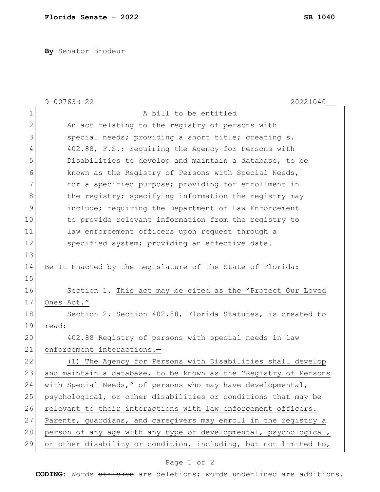**By** Senator Brodeur

|              | $9 - 00763B - 22$<br>20221040                                    |
|--------------|------------------------------------------------------------------|
| 1            | A bill to be entitled                                            |
| $\mathbf{2}$ | An act relating to the registry of persons with                  |
| 3            | special needs; providing a short title; creating s.              |
| 4            | 402.88, F.S.; requiring the Agency for Persons with              |
| 5            | Disabilities to develop and maintain a database, to be           |
| 6            | known as the Registry of Persons with Special Needs,             |
| 7            | for a specified purpose; providing for enrollment in             |
| 8            | the registry; specifying information the registry may            |
| 9            | include; requiring the Department of Law Enforcement             |
| 10           | to provide relevant information from the registry to             |
| 11           | law enforcement officers upon request through a                  |
| 12           | specified system; providing an effective date.                   |
| 13           |                                                                  |
| 14           | Be It Enacted by the Legislature of the State of Florida:        |
| 15           |                                                                  |
| 16           | Section 1. This act may be cited as the "Protect Our Loved       |
| 17           | Ones Act."                                                       |
| 18           | Section 2. Section 402.88, Florida Statutes, is created to       |
| 19           | read:                                                            |
| 20           | 402.88 Registry of persons with special needs in law             |
| 21           | enforcement interactions.-                                       |
| 22           | The Agency for Persons with Disabilities shall develop<br>(1)    |
| 23           | and maintain a database, to be known as the "Registry of Persons |
| 24           | with Special Needs," of persons who may have developmental,      |
| 25           | psychological, or other disabilities or conditions that may be   |
| 26           | relevant to their interactions with law enforcement officers.    |
| 27           | Parents, guardians, and caregivers may enroll in the registry a  |
| 28           | person of any age with any type of developmental, psychological, |
| 29           | or other disability or condition, including, but not limited to, |

## Page 1 of 2

**CODING**: Words stricken are deletions; words underlined are additions.